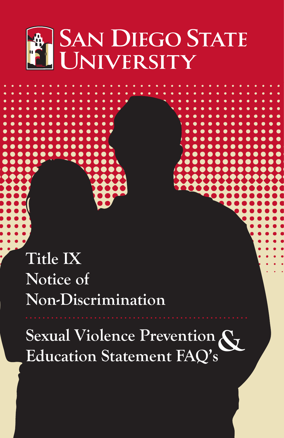

**Title IX Notice of Non-Discrimination**

Sexual Violence Prevention<br>Education Statement FAQ's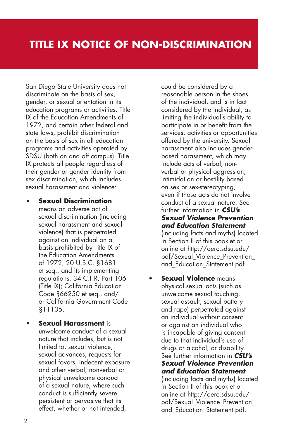San Diego State University does not discriminate on the basis of sex, gender, or sexual orientation in its education programs or activities. Title IX of the Education Amendments of 1972, and certain other federal and state laws, prohibit discrimination on the basis of sex in all education programs and activities operated by SDSU (both on and off campus). Title IX protects all people regardless of their gender or gender identity from sex discrimination, which includes sexual harassment and violence:

- **Sexual Discrimination** means an adverse act of sexual discrimination (including sexual harassment and sexual violence) that is perpetrated against an individual on a basis prohibited by Title IX of the Education Amendments of 1972, 20 U.S.C. §1681 et seq., and its implementing regulations, 34 C.F.R. Part 106 (Title IX); California Education Code §66250 et seq., and/ or California Government Code §11135.
- **Sexual Harassment** is unwelcome conduct of a sexual nature that includes, but is not limited to, sexual violence, sexual advances, requests for sexual favors, indecent exposure and other verbal, nonverbal or physical unwelcome conduct of a sexual nature, where such conduct is sufficiently severe, persistent or pervasive that its effect, whether or not intended,

could be considered by a reasonable person in the shoes of the individual, and is in fact considered by the individual, as limiting the individual's ability to participate in or benefit from the services, activities or opportunities offered by the university. Sexual harassment also includes genderbased harassment, which may include acts of verbal, nonverbal or physical aggression, intimidation or hostility based on sex or sex-stereotyping, even if those acts do not involve conduct of a sexual nature. See further information in *CSU's Sexual Violence Prevention and Education Statement* (including facts and myths) located in Section II of this booklet or online at http://oerc.sdsu.edu/ pdf/Sexual\_Violence\_Prevention\_ and\_Education\_Statement.pdf.

**Sexual Violence** means physical sexual acts (such as unwelcome sexual touching, sexual assault, sexual battery and rape) perpetrated against an individual without consent or against an individual who is incapable of giving consent due to that individual's use of drugs or alcohol, or disability. See further information in *CSU's Sexual Violence Prevention and Education Statement* (including facts and myths) located in Section II of this booklet or online at http://oerc.sdsu.edu/ pdf/Sexual\_Violence\_Prevention\_ and Education Statement.pdf.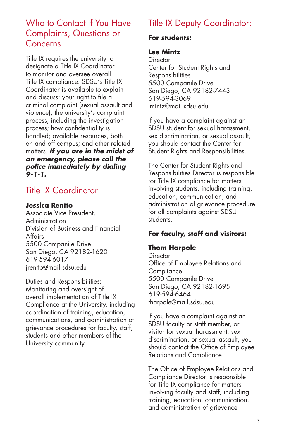## Who to Contact If You Have Complaints, Questions or Concerns

Title IX requires the university to designate a Title IX Coordinator to monitor and oversee overall Title IX compliance. SDSU's Title IX Coordinator is available to explain and discuss: your right to file a criminal complaint (sexual assault and violence); the university's complaint process, including the investigation process; how confidentiality is handled; available resources, both on and off campus; and other related matters. *If you are in the midst of an emergency, please call the police immediately by dialing 9-1-1.* 

# Title IX Coordinator:

### **Jessica Rentto**

Associate Vice President, Administration Division of Business and Financial Affairs 5500 Campanile Drive San Diego, CA 92182-1620 619-594-6017 jrentto@mail.sdsu.edu

Duties and Responsibilities: Monitoring and oversight of overall implementation of Title IX Compliance at the University, including coordination of training, education, communications, and administration of grievance procedures for faculty, staff, students and other members of the University community.

# Title IX Deputy Coordinator:

### **For students:**

#### **Lee Mintz**

**Director** Center for Student Rights and Responsibilities 5500 Campanile Drive San Diego, CA 92182-7443 619-594-3069 lmintz@mail.sdsu.edu

If you have a complaint against an SDSU student for sexual harassment, sex discrimination, or sexual assault, you should contact the Center for Student Rights and Responsibilities.

The Center for Student Rights and Responsibilities Director is responsible for Title IX compliance for matters involving students, including training, education, communication, and administration of grievance procedure for all complaints against SDSU students.

### **For faculty, staff and visitors:**

### **Thom Harpole**

**Director** Office of Employee Relations and **Compliance** 5500 Campanile Drive San Diego, CA 92182-1695 619-594-6464 tharpole@mail.sdsu.edu

If you have a complaint against an SDSU faculty or staff member, or visitor for sexual harassment, sex discrimination, or sexual assault, you should contact the Office of Employee Relations and Compliance.

The Office of Employee Relations and Compliance Director is responsible for Title IX compliance for matters involving faculty and staff, including training, education, communication, and administration of grievance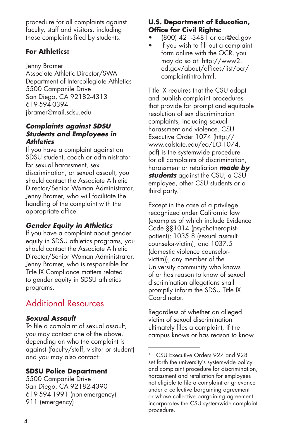procedure for all complaints against faculty, staff and visitors, including those complaints filed by students.

### **For Athletics:**

Jenny Bramer

Associate Athletic Director/SWA Department of Intercollegiate Athletics 5500 Campanile Drive San Diego, CA 92182-4313 619-594-0394 jbramer@mail.sdsu.edu

#### *Complaints against SDSU Students and Employees in Athletics*

If you have a complaint against an SDSU student, coach or administrator for sexual harassment, sex discrimination, or sexual assault, you should contact the Associate Athletic Director/Senior Woman Administrator, Jenny Bramer, who will facilitate the handling of the complaint with the appropriate office.

## *Gender Equity in Athletics*

If you have a complaint about gender equity in SDSU athletics programs, you should contact the Associate Athletic Director/Senior Woman Administrator, Jenny Bramer, who is responsible for Title IX Compliance matters related to gender equity in SDSU athletics programs.

# Additional Resources

### *Sexual Assault*

To file a complaint of sexual assault, you may contact one of the above, depending on who the complaint is against (faculty/staff, visitor or student) and you may also contact:

### **SDSU Police Department**

5500 Campanile Drive San Diego, CA 92182-4390 619-594-1991 (non-emergency) 911 (emergency)

### **U.S. Department of Education, Office for Civil Rights:**

- • (800) 421-3481 or ocr@ed.gov
- • If you wish to fill out a complaint form online with the OCR, you may do so at: http://www2. ed.gov/about/offices/list/ocr/ complaintintro.html.

Title IX requires that the CSU adopt and publish complaint procedures that provide for prompt and equitable resolution of sex discrimination complaints, including sexual harassment and violence. CSU Executive Order 1074 (http:// www.calstate.edu/eo/EO-1074. pdf) is the systemwide procedure for all complaints of discrimination, harassment or retaliation *made by students* against the CSU, a CSU employee, other CSU students or a third party. $<sup>1</sup>$ </sup>

Except in the case of a privilege recognized under California law (examples of which include Evidence Code §§1014 (psychotherapistpatient); 1035.8 (sexual assault counselor-victim); and 1037.5 (domestic violence counselorvictim)), any member of the University community who knows of or has reason to know of sexual discrimination allegations shall promptly inform the SDSU Title IX Coordinator.

Regardless of whether an alleged victim of sexual discrimination ultimately files a complaint, if the campus knows or has reason to know

<sup>&</sup>lt;sup>1</sup> CSU Executive Orders 927 and 928 set forth the university's systemwide policy and complaint procedure for discrimination, harassment and retaliation for employees not eligible to file a complaint or grievance under a collective bargaining agreement or whose collective bargaining agreement incorporates the CSU systemwide complaint procedure.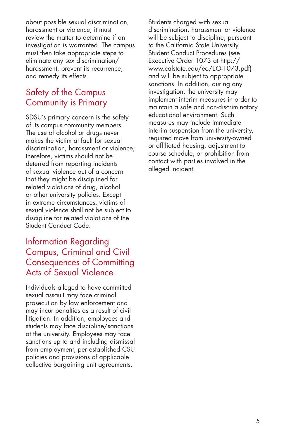about possible sexual discrimination, harassment or violence, it must review the matter to determine if an investigation is warranted. The campus must then take appropriate steps to eliminate any sex discrimination/ harassment, prevent its recurrence, and remedy its effects.

## Safety of the Campus Community is Primary

SDSU's primary concern is the safety of its campus community members. The use of alcohol or drugs never makes the victim at fault for sexual discrimination, harassment or violence; therefore, victims should not be deterred from reporting incidents of sexual violence out of a concern that they might be disciplined for related violations of drug, alcohol or other university policies. Except in extreme circumstances, victims of sexual violence shall not be subject to discipline for related violations of the Student Conduct Code.

## Information Regarding Campus, Criminal and Civil Consequences of Committing Acts of Sexual Violence

Individuals alleged to have committed sexual assault may face criminal prosecution by law enforcement and may incur penalties as a result of civil litigation. In addition, employees and students may face discipline/sanctions at the university. Employees may face sanctions up to and including dismissal from employment, per established CSU policies and provisions of applicable collective bargaining unit agreements.

Students charged with sexual discrimination, harassment or violence will be subject to discipline, pursuant to the California State University Student Conduct Procedures (see Executive Order 1073 at http:// www.calstate.edu/eo/EO-1073.pdf) and will be subject to appropriate sanctions. In addition, during any investigation, the university may implement interim measures in order to maintain a safe and non-discriminatory educational environment. Such measures may include immediate interim suspension from the university, required move from university-owned or affiliated housing, adjustment to course schedule, or prohibition from contact with parties involved in the alleged incident.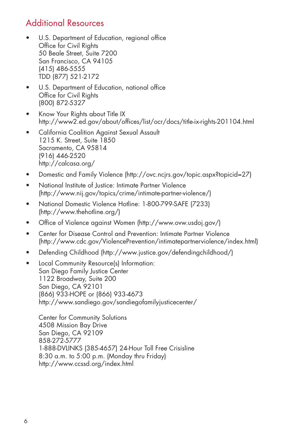# Additional Resources

- U.S. Department of Education, regional office Office for Civil Rights 50 Beale Street, Suite 7200 San Francisco, CA 94105 (415) 486-5555 TDD (877) 521-2172
- • U.S. Department of Education, national office Office for Civil Rights (800) 872-5327
- Know Your Rights about Title IX http://www2.ed.gov/about/offices/list/ocr/docs/title-ix-rights-201104.html
- • California Coalition Against Sexual Assault 1215 K. Street, Suite 1850 Sacramento, CA 95814 (916) 446-2520 http://calcasa.org/
- Domestic and Family Violence (http://ovc.ncjrs.gov/topic.aspx?topicid=27)
- • National Institute of Justice: Intimate Partner Violence (http://www.nij.gov/topics/crime/intimate-partner-violence/)
- • National Domestic Violence Hotline: 1-800-799-SAFE (7233) (http://www.thehotline.org/)
- Office of Violence against Women (http://www.ovw.usdoj.gov/)
- Center for Disease Control and Prevention: Intimate Partner Violence (http://www.cdc.gov/ViolencePrevention/intimatepartnerviolence/index.html)
- Defending Childhood (http://www.justice.gov/defendingchildhood/)
- Local Community Resource(s) Information: San Diego Family Justice Center 1122 Broadway, Suite 200 San Diego, CA 92101 (866) 933-HOPE or (866) 933-4673 http://www.sandiego.gov/sandiegofamilyjusticecenter/

Center for Community Solutions 4508 Mission Bay Drive San Diego, CA 92109 858-272-5777 1-888-DVLINKS (385-4657) 24-Hour Toll Free Crisisline 8:30 a.m. to 5:00 p.m. (Monday thru Friday) http://www.ccssd.org/index.html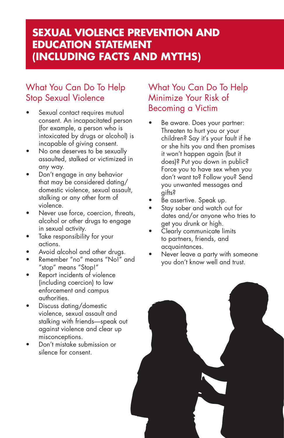# **Sexual Violence Prevention and Education Statement (including facts and myths)**

# What You Can Do To Help Stop Sexual Violence

- Sexual contact requires mutual consent. An incapacitated person (for example, a person who is intoxicated by drugs or alcohol) is incapable of giving consent.
- No one deserves to be sexually assaulted, stalked or victimized in any way.
- Don't engage in any behavior that may be considered dating/ domestic violence, sexual assault, stalking or any other form of violence.
- Never use force, coercion, threats, alcohol or other drugs to engage in sexual activity.
- Take responsibility for your actions.
- Avoid alcohol and other drugs.
- • Remember "no" means "No!" and "stop" means "Stop!"
- Report incidents of violence (including coercion) to law enforcement and campus authorities.
- Discuss dating/domestic violence, sexual assault and stalking with friends—speak out against violence and clear up misconceptions.
- Don't mistake submission or silence for consent.

## What You Can Do To Help Minimize Your Risk of Becoming a Victim

- Be aware. Does your partner: Threaten to hurt you or your children? Say it's your fault if he or she hits you and then promises it won't happen again (but it does)? Put you down in public? Force you to have sex when you don't want to? Follow you? Send you unwanted messages and gifts?
- Be assertive. Speak up.
- Stay sober and watch out for dates and/or anyone who tries to get you drunk or high.
- Clearly communicate limits to partners, friends, and acquaintances.
- Never leave a party with someone you don't know well and trust.

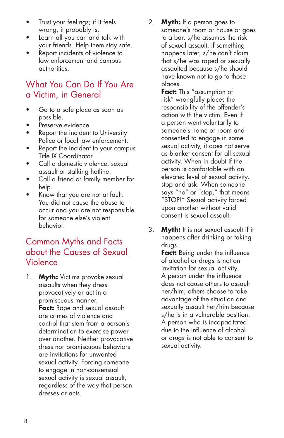- Trust your feelings; if it feels wrong, it probably is.
- Learn all you can and talk with your friends. Help them stay safe.
- Report incidents of violence to law enforcement and campus authorities.

## What You Can Do If You Are a Victim, in General

- Go to a safe place as soon as possible.
- Preserve evidence.
- Report the incident to University Police or local law enforcement.
- Report the incident to your campus Title IX Coordinator.
- Call a domestic violence, sexual assault or stalking hotline.
- Call a friend or family member for help.
- Know that you are not at fault. You did not cause the abuse to occur and you are not responsible for someone else's violent behavior.

## Common Myths and Facts about the Causes of Sexual Violence

1. **Myth:** Victims provoke sexual assaults when they dress provocatively or act in a promiscuous manner. **Fact:** Rape and sexual assault are crimes of violence and control that stem from a person's determination to exercise power over another. Neither provocative dress nor promiscuous behaviors are invitations for unwanted sexual activity. Forcing someone to engage in non-consensual sexual activity is sexual assault, regardless of the way that person dresses or acts.

2. **Myth:** If a person goes to someone's room or house or goes to a bar, s/he assumes the risk of sexual assault. If something happens later, s/he can't claim that s/he was raped or sexually assaulted because s/he should have known not to go to those places.

> **Fact:** This "assumption of risk" wrongfully places the responsibility of the offender's action with the victim. Even if a person went voluntarily to someone's home or room and consented to engage in some sexual activity, it does not serve as blanket consent for all sexual activity. When in doubt if the person is comfortable with an elevated level of sexual activity, stop and ask. When someone says "no" or "stop," that means "STOP!" Sexual activity forced upon another without valid consent is sexual assault.

3. **Myth:** It is not sexual assault if it happens after drinking or taking drugs.

**Fact:** Being under the influence of alcohol or drugs is not an invitation for sexual activity. A person under the influence does not cause others to assault her/him; others choose to take advantage of the situation and sexually assault her/him because s/he is in a vulnerable position. A person who is incapacitated due to the influence of alcohol or drugs is not able to consent to sexual activity.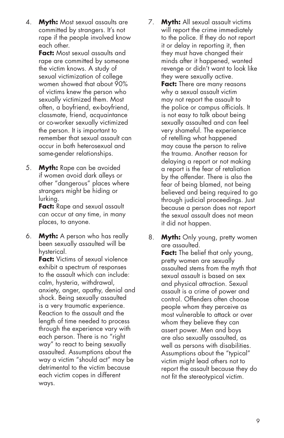4. **Myth:** Most sexual assaults are committed by strangers. It's not rape if the people involved know each other.

**Fact:** Most sexual assaults and rape are committed by someone the victim knows. A study of sexual victimization of college women showed that about 90% of victims knew the person who sexually victimized them. Most often, a boyfriend, ex-boyfriend, classmate, friend, acquaintance or co-worker sexually victimized the person. It is important to remember that sexual assault can occur in both heterosexual and same-gender relationships.

5. **Myth:** Rape can be avoided if women avoid dark alleys or other "dangerous" places where strangers might be hiding or lurking.

**Fact:** Rape and sexual assault can occur at any time, in many places, to anyone.

6. **Myth:** A person who has really been sexually assaulted will be hysterical.

**Fact:** Victims of sexual violence exhibit a spectrum of responses to the assault which can include: calm, hysteria, withdrawal, anxiety, anger, apathy, denial and shock. Being sexually assaulted is a very traumatic experience. Reaction to the assault and the length of time needed to process through the experience vary with each person. There is no "right way" to react to being sexually assaulted. Assumptions about the way a victim "should act" may be detrimental to the victim because each victim copes in different ways.

- 7. **Myth:** All sexual assault victims will report the crime immediately to the police. If they do not report it or delay in reporting it, then they must have changed their minds after it happened, wanted revenge or didn't want to look like they were sexually active. **Fact:** There are many reasons why a sexual assault victim may not report the assault to the police or campus officials. It is not easy to talk about being sexually assaulted and can feel very shameful. The experience of retelling what happened may cause the person to relive the trauma. Another reason for delaying a report or not making a report is the fear of retaliation by the offender. There is also the fear of being blamed, not being believed and being required to go through judicial proceedings. Just because a person does not report the sexual assault does not mean it did not happen.
- 8. **Myth:** Only young, pretty women are assaulted. **Fact:** The belief that only young, pretty women are sexually assaulted stems from the myth that sexual assault is based on sex and physical attraction. Sexual assault is a crime of power and control. Offenders often choose people whom they perceive as most vulnerable to attack or over whom they believe they can assert power. Men and boys are also sexually assaulted, as well as persons with disabilities. Assumptions about the "typical" victim might lead others not to report the assault because they do not fit the stereotypical victim.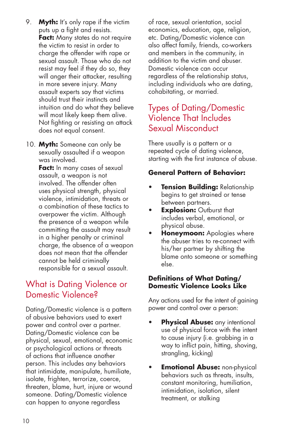- 9. **Myth:** It's only rape if the victim puts up a fight and resists. **Fact:** Many states do not require the victim to resist in order to charge the offender with rape or sexual assault. Those who do not resist may feel if they do so, they will anger their attacker, resulting in more severe injury. Many assault experts say that victims should trust their instincts and intuition and do what they believe will most likely keep them alive. Not fighting or resisting an attack does not equal consent.
- 10. **Myth:** Someone can only be sexually assaulted if a weapon was involved.

**Fact:** In many cases of sexual assault, a weapon is not involved. The offender often uses physical strength, physical violence, intimidation, threats or a combination of these tactics to overpower the victim. Although the presence of a weapon while committing the assault may result in a higher penalty or criminal charge, the absence of a weapon does not mean that the offender cannot be held criminally responsible for a sexual assault.

## What is Dating Violence or Domestic Violence?

Dating/Domestic violence is a pattern of abusive behaviors used to exert power and control over a partner. Dating/Domestic violence can be physical, sexual, emotional, economic or psychological actions or threats of actions that influence another person. This includes any behaviors that intimidate, manipulate, humiliate, isolate, frighten, terrorize, coerce, threaten, blame, hurt, injure or wound someone. Dating/Domestic violence can happen to anyone regardless

of race, sexual orientation, social economics, education, age, religion, etc. Dating/Domestic violence can also affect family, friends, co-workers and members in the community, in addition to the victim and abuser. Domestic violence can occur regardless of the relationship status, including individuals who are dating, cohabitating, or married.

## Types of Dating/Domestic Violence That Includes Sexual Misconduct

There usually is a pattern or a repeated cycle of dating violence, starting with the first instance of abuse.

### **General Pattern of Behavior:**

- **Tension Building: Relationship** begins to get strained or tense between partners.
- • **Explosion:** Outburst that includes verbal, emotional, or physical abuse.
- **Honeymoon:** Apologies where the abuser tries to re-connect with his/her partner by shifting the blame onto someone or something else.

#### **Definitions of What Dating/ Domestic Violence Looks Like**

Any actions used for the intent of gaining power and control over a person:

- **Physical Abuse:** any intentional use of physical force with the intent to cause injury (i.e. grabbing in a way to inflict pain, hitting, shoving, strangling, kicking)
- • **Emotional Abuse:** non-physical behaviors such as threats, insults, constant monitoring, humiliation, intimidation, isolation, silent treatment, or stalking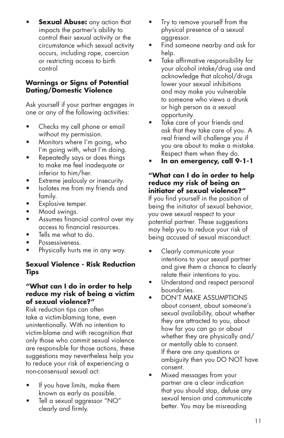**Sexual Abuse:** any action that impacts the partner's ability to control their sexual activity or the circumstance which sexual activity occurs, including rape, coercion or restricting access to birth control

### **Warnings or Signs of Potential Dating/Domestic Violence**

Ask yourself if your partner engages in one or any of the following activities:

- Checks my cell phone or email without my permission.
- Monitors where I'm going, who I'm going with, what I'm doing.
- Repeatedly says or does things to make me feel inadequate or inferior to him/her.
- Extreme jealously or insecurity.
- Isolates me from my friends and family.
- Explosive temper.
- Mood swings.
- Assumes financial control over my access to financial resources.
- Tells me what to do.
- Possessiveness.
- Physically hurts me in any way.

### **Sexual Violence - Risk Reduction Tips**

#### **"What can I do in order to help reduce my risk of being a victim of sexual violence?"**

Risk reduction tips can often take a victim-blaming tone, even unintentionally. With no intention to victim-blame and with recognition that only those who commit sexual violence are responsible for those actions, these suggestions may nevertheless help you to reduce your risk of experiencing a non-consensual sexual act:

- If you have limits, make them known as early as possible.
- Tell a sexual aggressor "NO" clearly and firmly.
- Try to remove yourself from the physical presence of a sexual aggressor.
- Find someone nearby and ask for help.
- Take affirmative responsibility for your alcohol intake/drug use and acknowledge that alcohol/drugs lower your sexual inhibitions and may make you vulnerable to someone who views a drunk or high person as a sexual opportunity.
- • Take care of your friends and ask that they take care of you. A real friend will challenge you if you are about to make a mistake. Respect them when they do.
- • **In an emergency, call 9-1-1**

#### **"What can I do in order to help reduce my risk of being an initiator of sexual violence?"** If you find yourself in the position of being the initiator of sexual behavior, you owe sexual respect to your potential partner. These suggestions may help you to reduce your risk of being accused of sexual misconduct:

- Clearly communicate your intentions to your sexual partner and give them a chance to clearly relate their intentions to you.
- Understand and respect personal boundaries.
- **DON'T MAKE ASSUMPTIONS** about consent, about someone's sexual availability, about whether they are attracted to you, about how far you can go or about whether they are physically and/ or mentally able to consent. If there are any questions or ambiguity then you DO NOT have consent.
- • Mixed messages from your partner are a clear indication that you should stop, defuse any sexual tension and communicate better. You may be misreading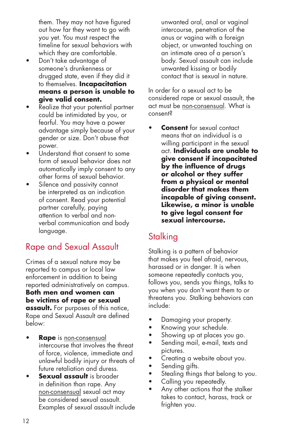them. They may not have figured out how far they want to go with you yet. You must respect the timeline for sexual behaviors with which they are comfortable.

- Don't take advantage of someone's drunkenness or drugged state, even if they did it to themselves. **Incapacitation means a person is unable to give valid consent.**
- Realize that your potential partner could be intimidated by you, or fearful. You may have a power advantage simply because of your gender or size. Don't abuse that power.
- Understand that consent to some form of sexual behavior does not automatically imply consent to any other forms of sexual behavior.
- Silence and passivity cannot be interpreted as an indication of consent. Read your potential partner carefully, paying attention to verbal and nonverbal communication and body language.

# Rape and Sexual Assault

Crimes of a sexual nature may be reported to campus or local law enforcement in addition to being reported administratively on campus. **Both men and women can be victims of rape or sexual assault.** For purposes of this notice, Rape and Sexual Assault are defined below:

- **Rape** is non-consensual intercourse that involves the threat of force, violence, immediate and unlawful bodily injury or threats of future retaliation and duress.
- **Sexual assault** is broader in definition than rape. Any non-consensual sexual act may be considered sexual assault. Examples of sexual assault include

unwanted oral, anal or vaginal intercourse, penetration of the anus or vagina with a foreign object, or unwanted touching on an intimate area of a person's body. Sexual assault can include unwanted kissing or bodily contact that is sexual in nature.

In order for a sexual act to be considered rape or sexual assault, the act must be non-consensual. What is consent?

**Consent** for sexual contact means that an individual is a willing participant in the sexual act. **Individuals are unable to give consent if incapacitated by the influence of drugs or alcohol or they suffer from a physical or mental disorder that makes them incapable of giving consent. Likewise, a minor is unable to give legal consent for sexual intercourse.**

# **Stalking**

Stalking is a pattern of behavior that makes you feel afraid, nervous, harassed or in danger. It is when someone repeatedly contacts you, follows you, sends you things, talks to you when you don't want them to or threatens you. Stalking behaviors can include:

- Damaging your property.
- • Knowing your schedule.
- Showing up at places you go.
- Sending mail, e-mail, texts and pictures.
- Creating a website about you.
- Sending gifts.
- Stealing things that belong to you.
- Calling you repeatedly.
- Any other actions that the stalker takes to contact, harass, track or frighten you.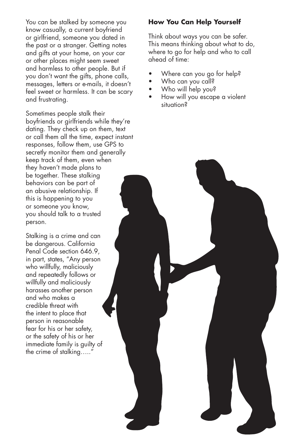You can be stalked by someone you know casually, a current boyfriend or girlfriend, someone you dated in the past or a stranger. Getting notes and gifts at your home, on your car or other places might seem sweet and harmless to other people. But if you don't want the gifts, phone calls, messages, letters or e-mails, it doesn't feel sweet or harmless. It can be scary and frustrating.

Sometimes people stalk their boyfriends or girlfriends while they're dating. They check up on them, text or call them all the time, expect instant responses, follow them, use GPS to secretly monitor them and generally keep track of them, even when they haven't made plans to be together. These stalking behaviors can be part of an abusive relationship. If this is happening to you or someone you know, you should talk to a trusted person.

Stalking is a crime and can be dangerous. California Penal Code section 646.9, in part, states, "Any person who willfully, maliciously and repeatedly follows or willfully and maliciously harasses another person and who makes a credible threat with the intent to place that person in reasonable fear for his or her safety, or the safety of his or her immediate family is guilty of the crime of stalking….."

#### **How You Can Help Yourself**

Think about ways you can be safer. This means thinking about what to do, where to go for help and who to call ahead of time:

- Where can you go for help?
- Who can you call?
- Who will help you?
- How will you escape a violent situation?

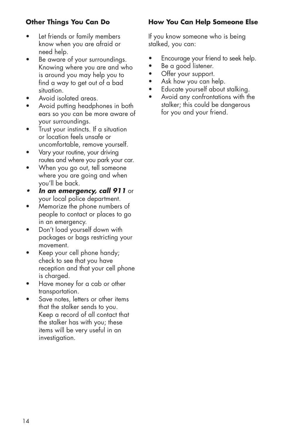### **Other Things You Can Do**

- Let friends or family members know when you are afraid or need help.
- Be aware of your surroundings. Knowing where you are and who is around you may help you to find a way to get out of a bad situation.
- Avoid isolated areas.
- Avoid putting headphones in both ears so you can be more aware of your surroundings.
- Trust your instincts. If a situation or location feels unsafe or uncomfortable, remove yourself.
- Vary your routine, your driving routes and where you park your car.
- When you go out, tell someone where you are going and when you'll be back.
- **•**  *In an emergency, call 911* or your local police department.
- Memorize the phone numbers of people to contact or places to go in an emergency.
- Don't load yourself down with packages or bags restricting your movement.
- Keep your cell phone handy; check to see that you have reception and that your cell phone is charged.
- • Have money for a cab or other transportation.
- Save notes, letters or other items that the stalker sends to you. Keep a record of all contact that the stalker has with you; these items will be very useful in an investigation.

### **How You Can Help Someone Else**

If you know someone who is being stalked, you can:

- Encourage your friend to seek help.
- Be a good listener.
- Offer your support.
- Ask how you can help.
- • Educate yourself about stalking.
- • Avoid any confrontations with the stalker; this could be dangerous for you and your friend.